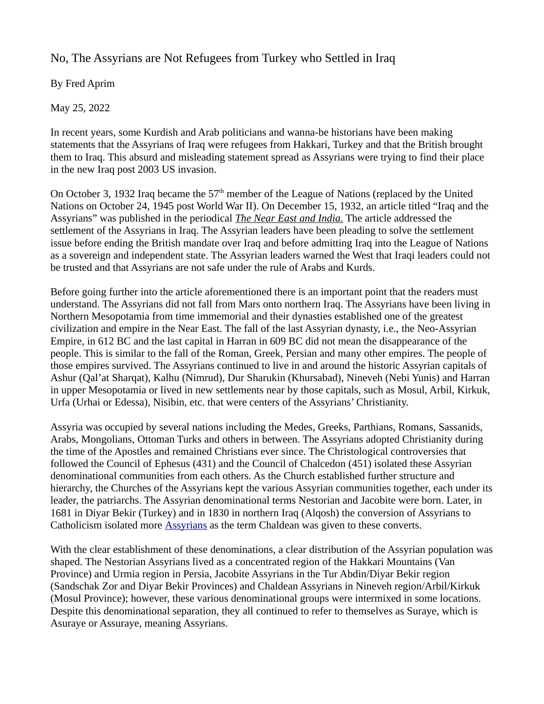No, The Assyrians are Not Refugees from Turkey who Settled in Iraq

By Fred Aprim

May 25, 2022

In recent years, some Kurdish and Arab politicians and wanna-be historians have been making statements that the Assyrians of Iraq were refugees from Hakkari, Turkey and that the British brought them to Iraq. This absurd and misleading statement spread as Assyrians were trying to find their place in the new Iraq post 2003 US invasion.

On October 3, 1932 Iraq became the  $57<sup>th</sup>$  member of the League of Nations (replaced by the United Nations on October 24, 1945 post World War II). On December 15, 1932, an article titled "Iraq and the Assyrians" was published in the periodical *The Near East and India.* The article addressed the settlement of the Assyrians in Iraq. The Assyrian leaders have been pleading to solve the settlement issue before ending the British mandate over Iraq and before admitting Iraq into the League of Nations as a sovereign and independent state. The Assyrian leaders warned the West that Iraqi leaders could not be trusted and that Assyrians are not safe under the rule of Arabs and Kurds.

Before going further into the article aforementioned there is an important point that the readers must understand. The Assyrians did not fall from Mars onto northern Iraq. The Assyrians have been living in Northern Mesopotamia from time immemorial and their dynasties established one of the greatest civilization and empire in the Near East. The fall of the last Assyrian dynasty, i.e., the Neo-Assyrian Empire, in 612 BC and the last capital in Harran in 609 BC did not mean the disappearance of the people. This is similar to the fall of the Roman, Greek, Persian and many other empires. The people of those empires survived. The Assyrians continued to live in and around the historic Assyrian capitals of Ashur (Qal'at Sharqat), Kalhu (Nimrud), Dur Sharukin (Khursabad), Nineveh (Nebi Yunis) and Harran in upper Mesopotamia or lived in new settlements near by those capitals, such as Mosul, Arbil, Kirkuk, Urfa (Urhai or Edessa), Nisibin, etc. that were centers of the Assyrians' Christianity.

Assyria was occupied by several nations including the Medes, Greeks, Parthians, Romans, Sassanids, Arabs, Mongolians, Ottoman Turks and others in between. The Assyrians adopted Christianity during the time of the Apostles and remained Christians ever since. The Christological controversies that followed the Council of Ephesus (431) and the Council of Chalcedon (451) isolated these Assyrian denominational communities from each others. As the Church established further structure and hierarchy, the Churches of the Assyrians kept the various Assyrian communities together, each under its leader, the patriarchs. The Assyrian denominational terms Nestorian and Jacobite were born. Later, in 1681 in Diyar Bekir (Turkey) and in 1830 in northern Iraq (Alqosh) the conversion of Assyrians to Catholicism isolated more [Assyrians](https://www.atour.com/education/20030123a.html) as the term Chaldean was given to these converts.

With the clear establishment of these denominations, a clear distribution of the Assyrian population was shaped. The Nestorian Assyrians lived as a concentrated region of the Hakkari Mountains (Van Province) and Urmia region in Persia, Jacobite Assyrians in the Tur Abdin/Diyar Bekir region (Sandschak Zor and Diyar Bekir Provinces) and Chaldean Assyrians in Nineveh region/Arbil/Kirkuk (Mosul Province); however, these various denominational groups were intermixed in some locations. Despite this denominational separation, they all continued to refer to themselves as Suraye, which is Asuraye or Assuraye, meaning Assyrians.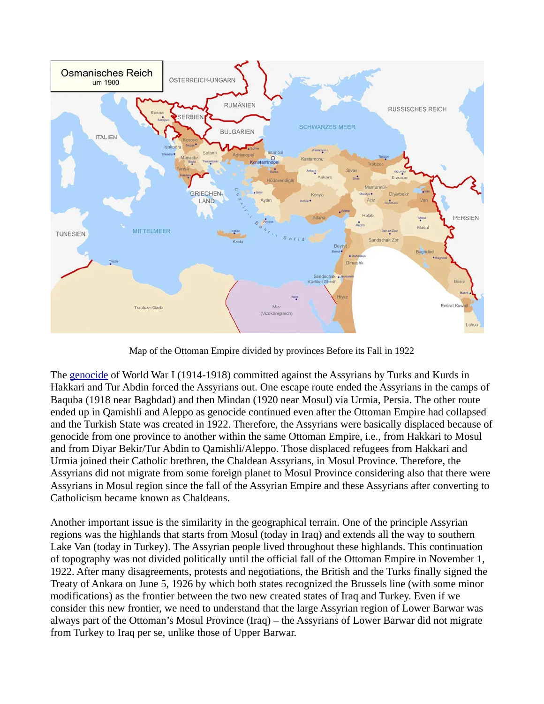

Map of the Ottoman Empire divided by provinces Before its Fall in 1922

The [genocide](https://www.atour.com/holocaust) of World War I (1914-1918) committed against the Assyrians by Turks and Kurds in Hakkari and Tur Abdin forced the Assyrians out. One escape route ended the Assyrians in the camps of Baquba (1918 near Baghdad) and then Mindan (1920 near Mosul) via Urmia, Persia. The other route ended up in Qamishli and Aleppo as genocide continued even after the Ottoman Empire had collapsed and the Turkish State was created in 1922. Therefore, the Assyrians were basically displaced because of genocide from one province to another within the same Ottoman Empire, i.e., from Hakkari to Mosul and from Diyar Bekir/Tur Abdin to Qamishli/Aleppo. Those displaced refugees from Hakkari and Urmia joined their Catholic brethren, the Chaldean Assyrians, in Mosul Province. Therefore, the Assyrians did not migrate from some foreign planet to Mosul Province considering also that there were Assyrians in Mosul region since the fall of the Assyrian Empire and these Assyrians after converting to Catholicism became known as Chaldeans.

Another important issue is the similarity in the geographical terrain. One of the principle Assyrian regions was the highlands that starts from Mosul (today in Iraq) and extends all the way to southern Lake Van (today in Turkey). The Assyrian people lived throughout these highlands. This continuation of topography was not divided politically until the official fall of the Ottoman Empire in November 1, 1922. After many disagreements, protests and negotiations, the British and the Turks finally signed the Treaty of Ankara on June 5, 1926 by which both states recognized the Brussels line (with some minor modifications) as the frontier between the two new created states of Iraq and Turkey. Even if we consider this new frontier, we need to understand that the large Assyrian region of Lower Barwar was always part of the Ottoman's Mosul Province (Iraq) – the Assyrians of Lower Barwar did not migrate from Turkey to Iraq per se, unlike those of Upper Barwar.